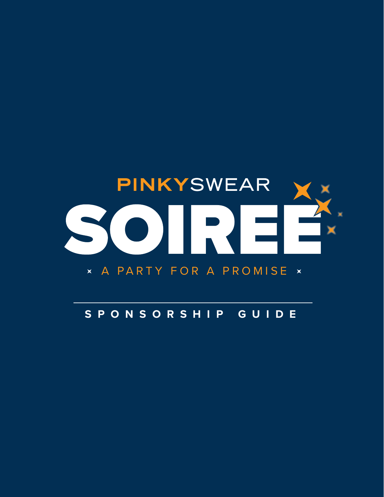

## **SPONSORSHIP GUIDE**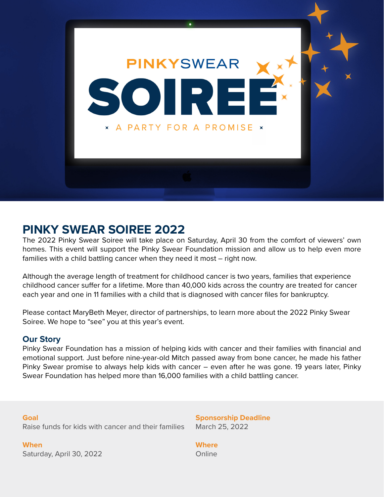

# **PINKY SWEAR SOIREE 2022**

The 2022 Pinky Swear Soiree will take place on Saturday, April 30 from the comfort of viewers' own homes. This event will support the Pinky Swear Foundation mission and allow us to help even more families with a child battling cancer when they need it most – right now.

Although the average length of treatment for childhood cancer is two years, families that experience childhood cancer suffer for a lifetime. More than 40,000 kids across the country are treated for cancer each year and one in 11 families with a child that is diagnosed with cancer files for bankruptcy.

Please contact MaryBeth Meyer, director of partnerships, to learn more about the 2022 Pinky Swear Soiree. We hope to "see" you at this year's event.

## **Our Story**

Pinky Swear Foundation has a mission of helping kids with cancer and their families with financial and emotional support. Just before nine-year-old Mitch passed away from bone cancer, he made his father Pinky Swear promise to always help kids with cancer – even after he was gone. 19 years later, Pinky Swear Foundation has helped more than 16,000 families with a child battling cancer.

**Goal** Raise funds for kids with cancer and their families

**When** Saturday, April 30, 2022 **Sponsorship Deadline** March 25, 2022

**Where Online**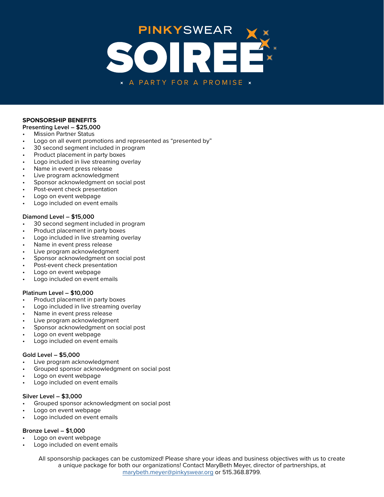

#### **SPONSORSHIP BENEFITS**

#### **Presenting Level – \$25,000**

- Mission Partner Status
- Logo on all event promotions and represented as "presented by"
- 30 second segment included in program
- Product placement in party boxes
- Logo included in live streaming overlay
- Name in event press release
- Live program acknowledgment
- Sponsor acknowledgment on social post
- Post-event check presentation
- Logo on event webpage
- Logo included on event emails

#### **Diamond Level – \$15,000**

- 30 second segment included in program
- Product placement in party boxes
- Logo included in live streaming overlay
- Name in event press release
- Live program acknowledgment
- Sponsor acknowledgment on social post
- Post-event check presentation
- Logo on event webpage
- Logo included on event emails

#### **Platinum Level – \$10,000**

- Product placement in party boxes
- Logo included in live streaming overlay
- Name in event press release
- Live program acknowledgment
- Sponsor acknowledgment on social post
- Logo on event webpage
- Logo included on event emails

#### **Gold Level – \$5,000**

- Live program acknowledgment
- Grouped sponsor acknowledgment on social post
- Logo on event webpage
- Logo included on event emails

#### **Silver Level – \$3,000**

- Grouped sponsor acknowledgment on social post
- Logo on event webpage
- Logo included on event emails

#### **Bronze Level – \$1,000**

- Logo on event webpage
- Logo included on event emails

All sponsorship packages can be customized! Please share your ideas and business objectives with us to create a unique package for both our organizations! Contact MaryBeth Meyer, director of partnerships, at [marybeth.meyer@pinkyswear.org](mailto:marybeth.meyer%40pinkyswear.org?subject=) or 515.368.8799.